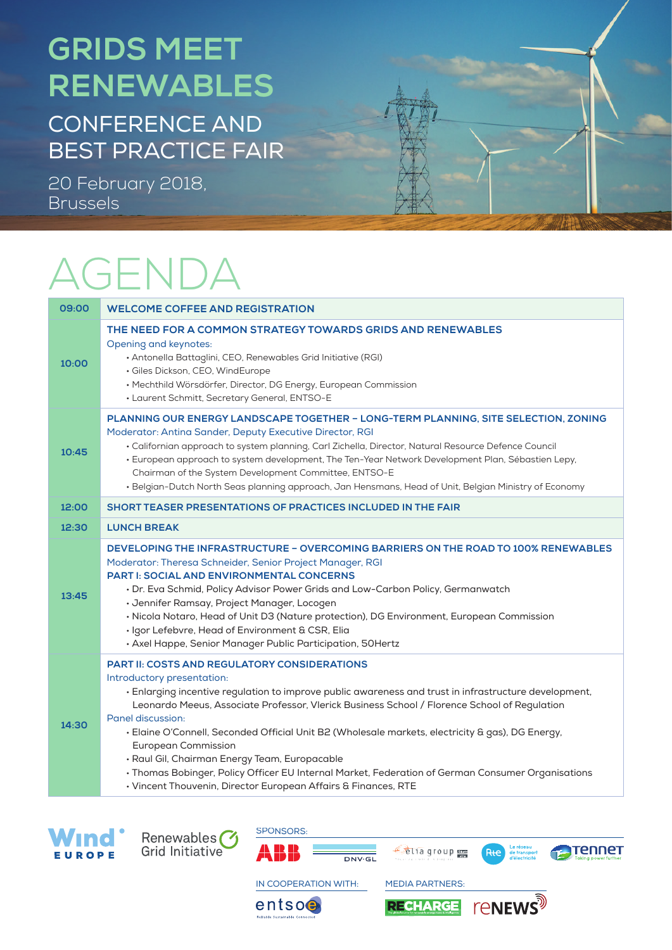## **GRIDS MEET RENEWABLES**

CONFERENCE AND BEST PRACTICE FAIR

20 February 2018, Brussels

## AGENDA

| 09:00 | <b>WELCOME COFFEE AND REGISTRATION</b>                                                                                                                                                                                                                                                                                                                                                                                                                                                                                                                                                                                                                                    |  |
|-------|---------------------------------------------------------------------------------------------------------------------------------------------------------------------------------------------------------------------------------------------------------------------------------------------------------------------------------------------------------------------------------------------------------------------------------------------------------------------------------------------------------------------------------------------------------------------------------------------------------------------------------------------------------------------------|--|
| 10:00 | THE NEED FOR A COMMON STRATEGY TOWARDS GRIDS AND RENEWABLES<br>Opening and keynotes:<br>· Antonella Battaglini, CEO, Renewables Grid Initiative (RGI)<br>· Giles Dickson, CEO, WindEurope<br>• Mechthild Wörsdörfer, Director, DG Energy, European Commission<br>• Laurent Schmitt, Secretary General, ENTSO-E                                                                                                                                                                                                                                                                                                                                                            |  |
| 10:45 | PLANNING OUR ENERGY LANDSCAPE TOGETHER - LONG-TERM PLANNING, SITE SELECTION, ZONING<br>Moderator: Antina Sander, Deputy Executive Director, RGI<br>· Californian approach to system planning, Carl Zichella, Director, Natural Resource Defence Council<br>· European approach to system development, The Ten-Year Network Development Plan, Sébastien Lepy,<br>Chairman of the System Development Committee, ENTSO-E<br>· Belgian-Dutch North Seas planning approach, Jan Hensmans, Head of Unit, Belgian Ministry of Economy                                                                                                                                            |  |
| 12:00 | <b>SHORT TEASER PRESENTATIONS OF PRACTICES INCLUDED IN THE FAIR</b>                                                                                                                                                                                                                                                                                                                                                                                                                                                                                                                                                                                                       |  |
| 12:30 | <b>LUNCH BREAK</b>                                                                                                                                                                                                                                                                                                                                                                                                                                                                                                                                                                                                                                                        |  |
| 13:45 | DEVELOPING THE INFRASTRUCTURE - OVERCOMING BARRIERS ON THE ROAD TO 100% RENEWABLES<br>Moderator: Theresa Schneider, Senior Project Manager, RGI<br><b>PART I: SOCIAL AND ENVIRONMENTAL CONCERNS</b><br>· Dr. Eva Schmid, Policy Advisor Power Grids and Low-Carbon Policy, Germanwatch<br>· Jennifer Ramsay, Project Manager, Locogen<br>· Nicola Notaro, Head of Unit D3 (Nature protection), DG Environment, European Commission<br>· Igor Lefebvre, Head of Environment & CSR, Elia<br>· Axel Happe, Senior Manager Public Participation, 50Hertz                                                                                                                      |  |
| 14:30 | <b>PART II: COSTS AND REGULATORY CONSIDERATIONS</b><br>Introductory presentation:<br>· Enlarging incentive regulation to improve public awareness and trust in infrastructure development,<br>Leonardo Meeus, Associate Professor, Vlerick Business School / Florence School of Regulation<br>Panel discussion:<br>· Elaine O'Connell, Seconded Official Unit B2 (Wholesale markets, electricity & gas), DG Energy,<br><b>European Commission</b><br>· Raul Gil, Chairman Energy Team, Europacable<br>· Thomas Bobinger, Policy Officer EU Internal Market, Federation of German Consumer Organisations<br>• Vincent Thouvenin, Director European Affairs & Finances, RTE |  |